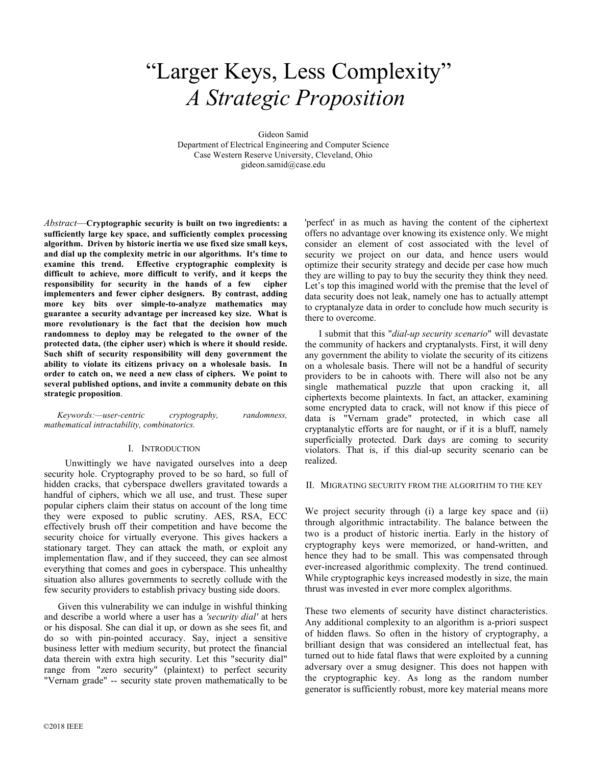# "Larger Keys, Less Complexity" *A Strategic Proposition*

Gideon Samid

Department of Electrical Engineering and Computer Science Case Western Reserve University, Cleveland, Ohio gideon.samid@case.edu

*Abstract*—**Cryptographic security is built on two ingredients: a sufficiently large key space, and sufficiently complex processing algorithm. Driven by historic inertia we use fixed size small keys, and dial up the complexity metric in our algorithms. It's time to examine this trend. Effective cryptographic complexity is difficult to achieve, more difficult to verify, and it keeps the responsibility for security in the hands of a few cipher implementers and fewer cipher designers. By contrast, adding more key bits over simple-to-analyze mathematics may guarantee a security advantage per increased key size. What is more revolutionary is the fact that the decision how much randomness to deploy may be relegated to the owner of the protected data, (the cipher user) which is where it should reside. Such shift of security responsibility will deny government the ability to violate its citizens privacy on a wholesale basis. In order to catch on, we need a new class of ciphers. We point to several published options, and invite a community debate on this strategic proposition**.

*Keywords:—user-centric cryptography, randomness, mathematical intractability, combinatorics.* 

#### I. INTRODUCTION

 Unwittingly we have navigated ourselves into a deep security hole. Cryptography proved to be so hard, so full of hidden cracks, that cyberspace dwellers gravitated towards a handful of ciphers, which we all use, and trust. These super popular ciphers claim their status on account of the long time they were exposed to public scrutiny. AES, RSA, ECC effectively brush off their competition and have become the security choice for virtually everyone. This gives hackers a stationary target. They can attack the math, or exploit any implementation flaw, and if they succeed, they can see almost everything that comes and goes in cyberspace. This unhealthy situation also allures governments to secretly collude with the few security providers to establish privacy busting side doors.

Given this vulnerability we can indulge in wishful thinking and describe a world where a user has a *'security dial'* at hers or his disposal. She can dial it up, or down as she sees fit, and do so with pin-pointed accuracy. Say, inject a sensitive business letter with medium security, but protect the financial data therein with extra high security. Let this "security dial" range from "zero security" (plaintext) to perfect security "Vernam grade" -- security state proven mathematically to be

'perfect' in as much as having the content of the ciphertext offers no advantage over knowing its existence only. We might consider an element of cost associated with the level of security we project on our data, and hence users would optimize their security strategy and decide per case how much they are willing to pay to buy the security they think they need. Let's top this imagined world with the premise that the level of data security does not leak, namely one has to actually attempt to cryptanalyze data in order to conclude how much security is there to overcome.

I submit that this "*dial-up security scenario*" will devastate the community of hackers and cryptanalysts. First, it will deny any government the ability to violate the security of its citizens on a wholesale basis. There will not be a handful of security providers to be in cahoots with. There will also not be any single mathematical puzzle that upon cracking it, all ciphertexts become plaintexts. In fact, an attacker, examining some encrypted data to crack, will not know if this piece of data is "Vernam grade" protected, in which case all cryptanalytic efforts are for naught, or if it is a bluff, namely superficially protected. Dark days are coming to security violators. That is, if this dial-up security scenario can be realized.

#### II. MIGRATING SECURITY FROM THE ALGORITHM TO THE KEY

We project security through (i) a large key space and (ii) through algorithmic intractability. The balance between the two is a product of historic inertia. Early in the history of cryptography keys were memorized, or hand-written, and hence they had to be small. This was compensated through ever-increased algorithmic complexity. The trend continued. While cryptographic keys increased modestly in size, the main thrust was invested in ever more complex algorithms.

These two elements of security have distinct characteristics. Any additional complexity to an algorithm is a-priori suspect of hidden flaws. So often in the history of cryptography, a brilliant design that was considered an intellectual feat, has turned out to hide fatal flaws that were exploited by a cunning adversary over a smug designer. This does not happen with the cryptographic key. As long as the random number generator is sufficiently robust, more key material means more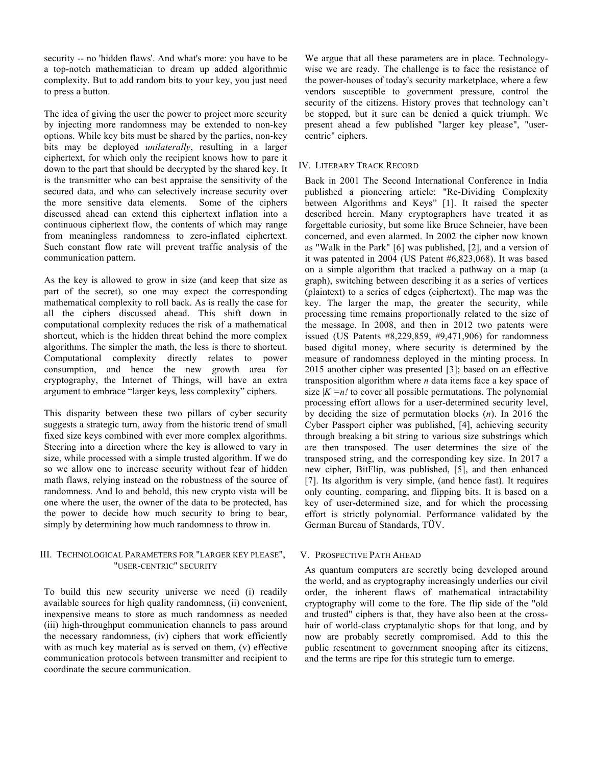security -- no 'hidden flaws'. And what's more: you have to be a top-notch mathematician to dream up added algorithmic complexity. But to add random bits to your key, you just need to press a button.

The idea of giving the user the power to project more security by injecting more randomness may be extended to non-key options. While key bits must be shared by the parties, non-key bits may be deployed *unilaterally*, resulting in a larger ciphertext, for which only the recipient knows how to pare it down to the part that should be decrypted by the shared key. It is the transmitter who can best appraise the sensitivity of the secured data, and who can selectively increase security over the more sensitive data elements. Some of the ciphers discussed ahead can extend this ciphertext inflation into a continuous ciphertext flow, the contents of which may range from meaningless randomness to zero-inflated ciphertext. Such constant flow rate will prevent traffic analysis of the communication pattern.

As the key is allowed to grow in size (and keep that size as part of the secret), so one may expect the corresponding mathematical complexity to roll back. As is really the case for all the ciphers discussed ahead. This shift down in computational complexity reduces the risk of a mathematical shortcut, which is the hidden threat behind the more complex algorithms. The simpler the math, the less is there to shortcut. Computational complexity directly relates to power consumption, and hence the new growth area for cryptography, the Internet of Things, will have an extra argument to embrace "larger keys, less complexity" ciphers.

This disparity between these two pillars of cyber security suggests a strategic turn, away from the historic trend of small fixed size keys combined with ever more complex algorithms. Steering into a direction where the key is allowed to vary in size, while processed with a simple trusted algorithm. If we do so we allow one to increase security without fear of hidden math flaws, relying instead on the robustness of the source of randomness. And lo and behold, this new crypto vista will be one where the user, the owner of the data to be protected, has the power to decide how much security to bring to bear, simply by determining how much randomness to throw in.

## III. TECHNOLOGICAL PARAMETERS FOR "LARGER KEY PLEASE", "USER-CENTRIC" SECURITY

To build this new security universe we need (i) readily available sources for high quality randomness, (ii) convenient, inexpensive means to store as much randomness as needed (iii) high-throughput communication channels to pass around the necessary randomness, (iv) ciphers that work efficiently with as much key material as is served on them, (v) effective communication protocols between transmitter and recipient to coordinate the secure communication.

We argue that all these parameters are in place. Technologywise we are ready. The challenge is to face the resistance of the power-houses of today's security marketplace, where a few vendors susceptible to government pressure, control the security of the citizens. History proves that technology can't be stopped, but it sure can be denied a quick triumph. We present ahead a few published "larger key please", "usercentric" ciphers.

# IV. LITERARY TRACK RECORD

Back in 2001 The Second International Conference in India published a pioneering article: "Re-Dividing Complexity between Algorithms and Keys" [1]. It raised the specter described herein. Many cryptographers have treated it as forgettable curiosity, but some like Bruce Schneier, have been concerned, and even alarmed. In 2002 the cipher now known as "Walk in the Park" [6] was published, [2], and a version of it was patented in 2004 (US Patent #6,823,068). It was based on a simple algorithm that tracked a pathway on a map (a graph), switching between describing it as a series of vertices (plaintext) to a series of edges (ciphertext). The map was the key. The larger the map, the greater the security, while processing time remains proportionally related to the size of the message. In 2008, and then in 2012 two patents were issued (US Patents #8,229,859, #9,471,906) for randomness based digital money, where security is determined by the measure of randomness deployed in the minting process. In 2015 another cipher was presented [3]; based on an effective transposition algorithm where *n* data items face a key space of size  $|K|=n!$  to cover all possible permutations. The polynomial processing effort allows for a user-determined security level, by deciding the size of permutation blocks (*n*). In 2016 the Cyber Passport cipher was published, [4], achieving security through breaking a bit string to various size substrings which are then transposed. The user determines the size of the transposed string, and the corresponding key size. In 2017 a new cipher, BitFlip, was published, [5], and then enhanced [7]. Its algorithm is very simple, (and hence fast). It requires only counting, comparing, and flipping bits. It is based on a key of user-determined size, and for which the processing effort is strictly polynomial. Performance validated by the German Bureau of Standards, TÜV.

## V. PROSPECTIVE PATH AHEAD

As quantum computers are secretly being developed around the world, and as cryptography increasingly underlies our civil order, the inherent flaws of mathematical intractability cryptography will come to the fore. The flip side of the "old and trusted" ciphers is that, they have also been at the crosshair of world-class cryptanalytic shops for that long, and by now are probably secretly compromised. Add to this the public resentment to government snooping after its citizens, and the terms are ripe for this strategic turn to emerge.